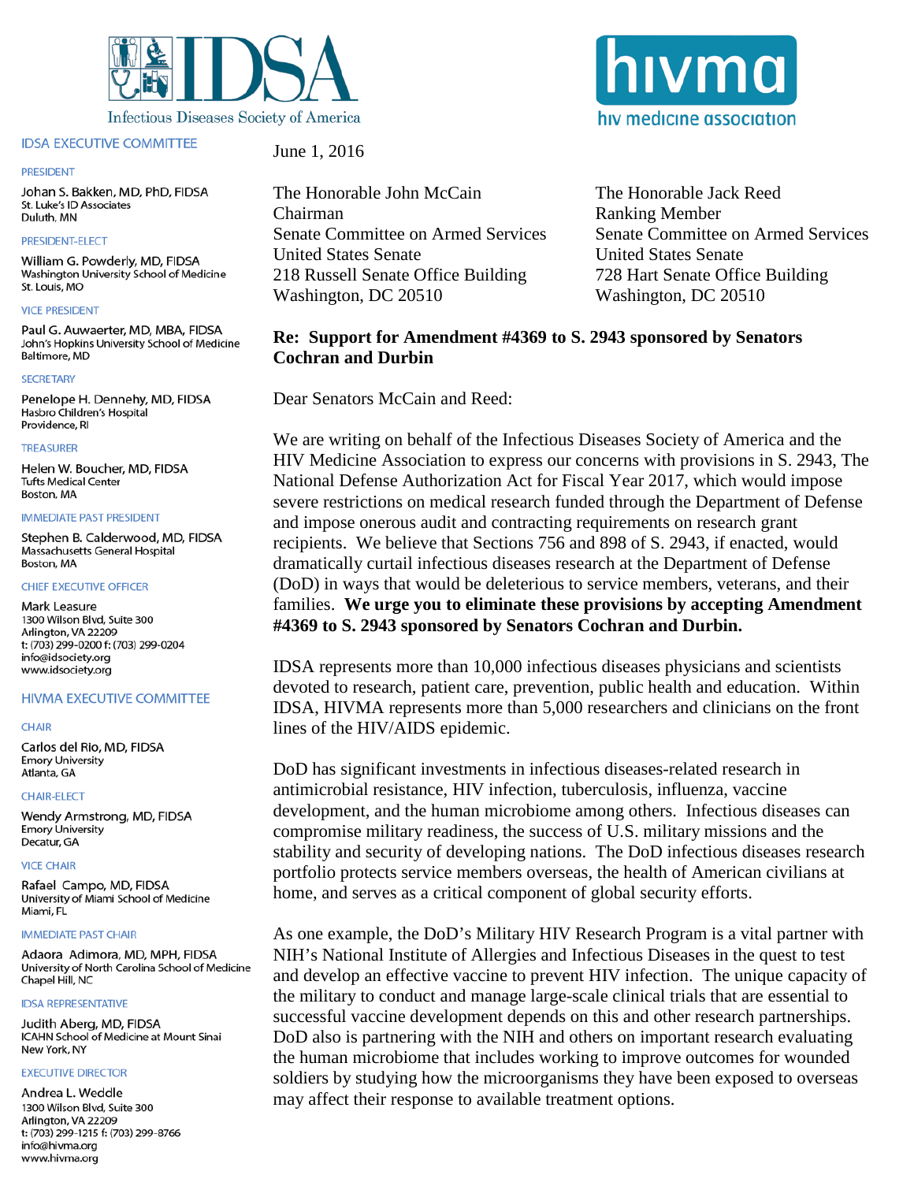

# **IDSA EXECUTIVE COMMITTEE**

### **PRESIDENT**

Johan S. Bakken, MD, PhD, FIDSA St. Luke's ID Associates Duluth, MN

# PRESIDENT-ELECT

William G. Powderly, MD, FIDSA Washington University School of Medicine St. Louis, MO

### **VICE PRESIDENT**

Paul G. Auwaerter, MD, MBA, FIDSA John's Hopkins University School of Medicine Baltimore, MD

### **SECRETARY**

Penelope H. Dennehv, MD, FIDSA Hasbro Children's Hospital Providence, RI

### **TREASURER**

Helen W. Boucher, MD, FIDSA **Tufts Medical Center** Boston, MA

#### **IMMEDIATE PAST PRESIDENT**

Stephen B. Calderwood, MD. FIDSA Massachusetts General Hospital Boston, MA

# **CHIEF EXECUTIVE OFFICER**

Mark Leasure 1300 Wilson Blvd, Suite 300 Arlington, VA 22209 t: (703) 299-0200 f: (703) 299-0204 info@idsociety.org www.idsociety.org

# **HIVMA EXECUTIVE COMMITTEE**

### **CHAIR**

Carlos del Rio, MD, FIDSA **Emory University** Atlanta, GA

### **CHAIR-ELECT**

Wendy Armstrong, MD, FIDSA **Emory University** Decatur, GA

### **VICE CHAIR**

Rafael Campo, MD, FIDSA University of Miami School of Medicine Miami, FL

### **IMMEDIATE PAST CHAIR**

Adaora Adimora, MD, MPH, FIDSA University of North Carolina School of Medicine Chapel Hill, NC

### **IDSA REPRESENTATIVE**

Judith Aberg, MD, FIDSA ICAHN School of Medicine at Mount Sinai New York, NY

### *EXECUTIVE DIRECTOR*

Andrea L. Weddle 1300 Wilson Blvd, Suite 300 Arlington, VA 22209 t: (703) 299-1215 f: (703) 299-8766 info@hivma.org www.hivma.org

June 1, 2016

The Honorable John McCain Chairman Senate Committee on Armed Services **United States Senate** 218 Russell Senate Office Building Washington, DC 20510

The Honorable Jack Reed **Ranking Member Senate Committee on Armed Services United States Senate** 728 Hart Senate Office Building Washington, DC 20510

# Re: Support for Amendment #4369 to S. 2943 sponsored by Senators **Cochran and Durbin**

Dear Senators McCain and Reed:

We are writing on behalf of the Infectious Diseases Society of America and the HIV Medicine Association to express our concerns with provisions in S. 2943, The National Defense Authorization Act for Fiscal Year 2017, which would impose severe restrictions on medical research funded through the Department of Defense and impose onerous audit and contracting requirements on research grant recipients. We believe that Sections 756 and 898 of S. 2943, if enacted, would dramatically curtail infectious diseases research at the Department of Defense (DoD) in ways that would be deleterious to service members, veterans, and their families. We urge you to eliminate these provisions by accepting Amendment #4369 to S. 2943 sponsored by Senators Cochran and Durbin.

IDSA represents more than 10,000 infectious diseases physicians and scientists devoted to research, patient care, prevention, public health and education. Within IDSA, HIVMA represents more than 5,000 researchers and clinicians on the front lines of the HIV/AIDS epidemic.

DoD has significant investments in infectious diseases-related research in antimicrobial resistance, HIV infection, tuberculosis, influenza, vaccine development, and the human microbiome among others. Infectious diseases can compromise military readiness, the success of U.S. military missions and the stability and security of developing nations. The DoD infectious diseases research portfolio protects service members overseas, the health of American civilians at home, and serves as a critical component of global security efforts.

As one example, the DoD's Military HIV Research Program is a vital partner with NIH's National Institute of Allergies and Infectious Diseases in the quest to test and develop an effective vaccine to prevent HIV infection. The unique capacity of the military to conduct and manage large-scale clinical trials that are essential to successful vaccine development depends on this and other research partnerships. DoD also is partnering with the NIH and others on important research evaluating the human microbiome that includes working to improve outcomes for wounded soldiers by studying how the microorganisms they have been exposed to overseas may affect their response to available treatment options.